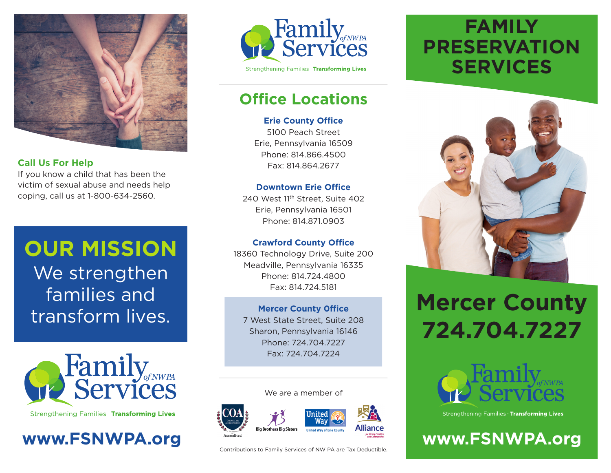

### **Call Us For Help**

If you know a child that has been the victim of sexual abuse and needs help coping, call us at 1-800-634-2560.

# **OUR MISSION**

We strengthen families and transform lives.



Strengthening Families · Transforming Lives





Strengthening Families Transforming Lives

## **Office Locations**

### **Erie County Office**

5100 Peach Street Erie, Pennsylvania 16509 Phone: 814.866.4500 Fax: 814.864.2677

### **Downtown Erie Office**

240 West 11th Street, Suite 402 Erie, Pennsylvania 16501 Phone: 814.871.0903

### **Crawford County Office**

18360 Technology Drive, Suite 200 Meadville, Pennsylvania 16335 Phone: 814.724.4800 Fax: 814.724.5181

### **Mercer County 0ffice**

7 West State Street, Suite 208 Sharon, Pennsylvania 16146 Phone: 724.704.7227 Fax: 724.704.7224

#### We are a member of





Contributions to Family Services of NW PA are Tax Deductible.

# **FAMILY PRESERVATION SERVICES**



# **Mercer County 724.704.7227**



Strengthening Families · Transforming Lives